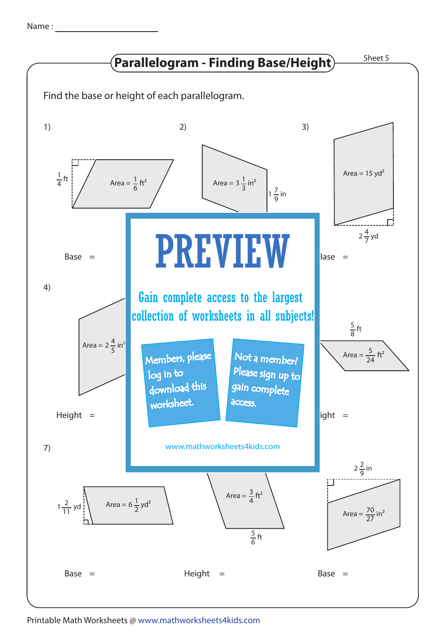